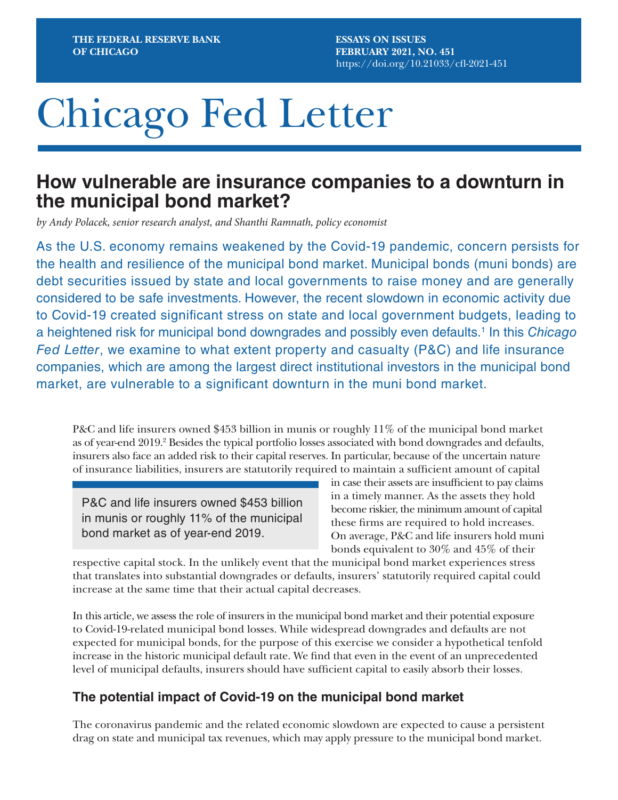**ESSAYS ON ISSUES FEBRUARY 2021, NO. 451** [https://doi.org/10.21033/](https://doi.org/10.21033/cfl-2021-451)cfl-2021-451

# Chicago Fed Letter

# **How vulnerable are insurance companies to a downturn in the municipal bond market?**

*by Andy Polacek, senior research analyst, and Shanthi Ramnath, policy economist*

As the U.S. economy remains weakened by the Covid-19 pandemic, concern persists for the health and resilience of the municipal bond market. Municipal bonds (muni bonds) are debt securities issued by state and local governments to raise money and are generally considered to be safe investments. However, the recent slowdown in economic activity due to Covid-19 created significant stress on state and local government budgets, leading to a heightened risk for municipal bond downgrades and possibly even defaults.<sup>1</sup> In this *Chicago Fed Letter*, we examine to what extent property and casualty (P&C) and life insurance companies, which are among the largest direct institutional investors in the municipal bond market, are vulnerable to a significant downturn in the muni bond market.

P&C and life insurers owned \$453 billion in munis or roughly 11% of the municipal bond market as of year-end 2019.<sup>2</sup> Besides the typical portfolio losses associated with bond downgrades and defaults, insurers also face an added risk to their capital reserves. In particular, because of the uncertain nature of insurance liabilities, insurers are statutorily required to maintain a sufficient amount of capital

P&C and life insurers owned \$453 billion in munis or roughly 11% of the municipal bond market as of year-end 2019.

in case their assets are insufficient to pay claims in a timely manner. As the assets they hold become riskier, the minimum amount of capital these firms are required to hold increases. On average, P&C and life insurers hold muni bonds equivalent to 30% and 45% of their

respective capital stock. In the unlikely event that the municipal bond market experiences stress that translates into substantial downgrades or defaults, insurers' statutorily required capital could increase at the same time that their actual capital decreases.

In this article, we assess the role of insurers in the municipal bond market and their potential exposure to Covid-19-related municipal bond losses. While widespread downgrades and defaults are not expected for municipal bonds, for the purpose of this exercise we consider a hypothetical tenfold increase in the historic municipal default rate. We find that even in the event of an unprecedented level of municipal defaults, insurers should have sufficient capital to easily absorb their losses.

### **The potential impact of Covid-19 on the municipal bond market**

The coronavirus pandemic and the related economic slowdown are expected to cause a persistent drag on state and municipal tax revenues, which may apply pressure to the municipal bond market.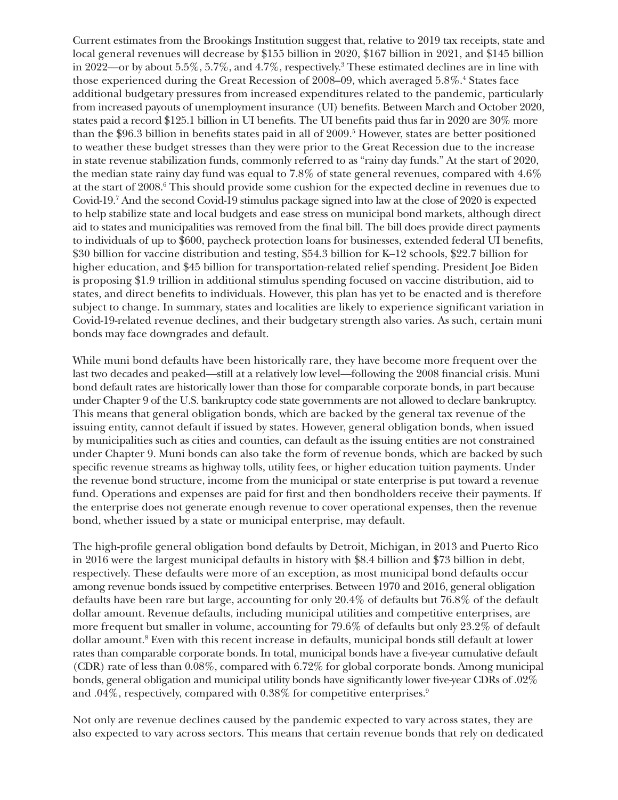Current estimates from the Brookings Institution suggest that, relative to 2019 tax receipts, state and local general revenues will decrease by \$155 billion in 2020, \$167 billion in 2021, and \$145 billion in 2022—or by about 5.5%, 5.7%, and 4.7%, respectively.3 These estimated declines are in line with those experienced during the Great Recession of 2008–09, which averaged 5.8%.<sup>4</sup> States face additional budgetary pressures from increased expenditures related to the pandemic, particularly from increased payouts of unemployment insurance (UI) benefits. Between March and October 2020, states paid a record \$125.1 billion in UI benefits. The UI benefits paid thus far in 2020 are 30% more than the \$96.3 billion in benefits states paid in all of 2009.5 However, states are better positioned to weather these budget stresses than they were prior to the Great Recession due to the increase in state revenue stabilization funds, commonly referred to as "rainy day funds." At the start of 2020, the median state rainy day fund was equal to 7.8% of state general revenues, compared with 4.6% at the start of 2008.<sup>6</sup> This should provide some cushion for the expected decline in revenues due to Covid-19.7 And the second Covid-19 stimulus package signed into law at the close of 2020 is expected to help stabilize state and local budgets and ease stress on municipal bond markets, although direct aid to states and municipalities was removed from the final bill. The bill does provide direct payments to individuals of up to \$600, paycheck protection loans for businesses, extended federal UI benefits, \$30 billion for vaccine distribution and testing, \$54.3 billion for K–12 schools, \$22.7 billion for higher education, and \$45 billion for transportation-related relief spending. President Joe Biden is proposing \$1.9 trillion in additional stimulus spending focused on vaccine distribution, aid to states, and direct benefits to individuals. However, this plan has yet to be enacted and is therefore subject to change. In summary, states and localities are likely to experience significant variation in Covid-19-related revenue declines, and their budgetary strength also varies. As such, certain muni bonds may face downgrades and default.

While muni bond defaults have been historically rare, they have become more frequent over the last two decades and peaked—still at a relatively low level—following the 2008 financial crisis. Muni bond default rates are historically lower than those for comparable corporate bonds, in part because under Chapter 9 of the U.S. bankruptcy code state governments are not allowed to declare bankruptcy. This means that general obligation bonds, which are backed by the general tax revenue of the issuing entity, cannot default if issued by states. However, general obligation bonds, when issued by municipalities such as cities and counties, can default as the issuing entities are not constrained under Chapter 9. Muni bonds can also take the form of revenue bonds, which are backed by such specific revenue streams as highway tolls, utility fees, or higher education tuition payments. Under the revenue bond structure, income from the municipal or state enterprise is put toward a revenue fund. Operations and expenses are paid for first and then bondholders receive their payments. If the enterprise does not generate enough revenue to cover operational expenses, then the revenue bond, whether issued by a state or municipal enterprise, may default.

The high-profile general obligation bond defaults by Detroit, Michigan, in 2013 and Puerto Rico in 2016 were the largest municipal defaults in history with \$8.4 billion and \$73 billion in debt, respectively. These defaults were more of an exception, as most municipal bond defaults occur among revenue bonds issued by competitive enterprises. Between 1970 and 2016, general obligation defaults have been rare but large, accounting for only 20.4% of defaults but 76.8% of the default dollar amount. Revenue defaults, including municipal utilities and competitive enterprises, are more frequent but smaller in volume, accounting for 79.6% of defaults but only 23.2% of default dollar amount.<sup>8</sup> Even with this recent increase in defaults, municipal bonds still default at lower rates than comparable corporate bonds. In total, municipal bonds have a five-year cumulative default (CDR) rate of less than 0.08%, compared with 6.72% for global corporate bonds. Among municipal bonds, general obligation and municipal utility bonds have significantly lower five-year CDRs of .02% and .04%, respectively, compared with 0.38% for competitive enterprises.<sup>9</sup>

Not only are revenue declines caused by the pandemic expected to vary across states, they are also expected to vary across sectors. This means that certain revenue bonds that rely on dedicated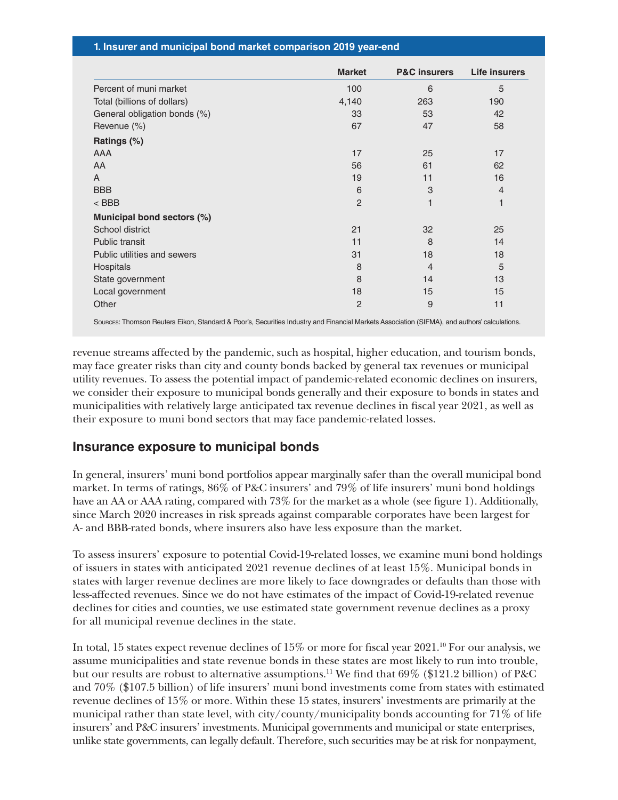|  | 1. Insurer and municipal bond market comparison 2019 year-end |  |  |
|--|---------------------------------------------------------------|--|--|
|--|---------------------------------------------------------------|--|--|

|                              | <b>Market</b>  | <b>P&amp;C</b> insurers | <b>Life insurers</b> |
|------------------------------|----------------|-------------------------|----------------------|
| Percent of muni market       | 100            | 6                       | 5                    |
| Total (billions of dollars)  | 4,140          | 263                     | 190                  |
| General obligation bonds (%) | 33             | 53                      | 42                   |
| Revenue (%)                  | 67             | 47                      | 58                   |
| Ratings (%)                  |                |                         |                      |
| AAA                          | 17             | 25                      | 17                   |
| AA                           | 56             | 61                      | 62                   |
| A                            | 19             | 11                      | 16                   |
| <b>BBB</b>                   | 6              | 3                       | $\overline{4}$       |
| $<$ BBB                      | $\overline{2}$ |                         | 1                    |
| Municipal bond sectors (%)   |                |                         |                      |
| School district              | 21             | 32                      | 25                   |
| Public transit               | 11             | 8                       | 14                   |
| Public utilities and sewers  | 31             | 18                      | 18                   |
| Hospitals                    | 8              | $\overline{4}$          | 5                    |
| State government             | 8              | 14                      | 13                   |
| Local government             | 18             | 15                      | 15                   |
| Other                        | $\overline{2}$ | 9                       | 11                   |

Sources: Thomson Reuters Eikon, Standard & Poor's, Securities Industry and Financial Markets Association (SIFMA), and authors' calculations.

revenue streams affected by the pandemic, such as hospital, higher education, and tourism bonds, may face greater risks than city and county bonds backed by general tax revenues or municipal utility revenues. To assess the potential impact of pandemic-related economic declines on insurers, we consider their exposure to municipal bonds generally and their exposure to bonds in states and municipalities with relatively large anticipated tax revenue declines in fiscal year 2021, as well as their exposure to muni bond sectors that may face pandemic-related losses.

#### **Insurance exposure to municipal bonds**

In general, insurers' muni bond portfolios appear marginally safer than the overall municipal bond market. In terms of ratings, 86% of P&C insurers' and 79% of life insurers' muni bond holdings have an AA or AAA rating, compared with 73% for the market as a whole (see figure 1). Additionally, since March 2020 increases in risk spreads against comparable corporates have been largest for A- and BBB-rated bonds, where insurers also have less exposure than the market.

To assess insurers' exposure to potential Covid-19-related losses, we examine muni bond holdings of issuers in states with anticipated 2021 revenue declines of at least 15%. Municipal bonds in states with larger revenue declines are more likely to face downgrades or defaults than those with less-affected revenues. Since we do not have estimates of the impact of Covid-19-related revenue declines for cities and counties, we use estimated state government revenue declines as a proxy for all municipal revenue declines in the state.

In total, 15 states expect revenue declines of 15% or more for fiscal year 2021.10 For our analysis, we assume municipalities and state revenue bonds in these states are most likely to run into trouble, but our results are robust to alternative assumptions.<sup>11</sup> We find that  $69\%$  (\$121.2 billion) of P&C and 70% (\$107.5 billion) of life insurers' muni bond investments come from states with estimated revenue declines of 15% or more. Within these 15 states, insurers' investments are primarily at the municipal rather than state level, with city/county/municipality bonds accounting for 71% of life insurers' and P&C insurers' investments. Municipal governments and municipal or state enterprises, unlike state governments, can legally default. Therefore, such securities may be at risk for nonpayment,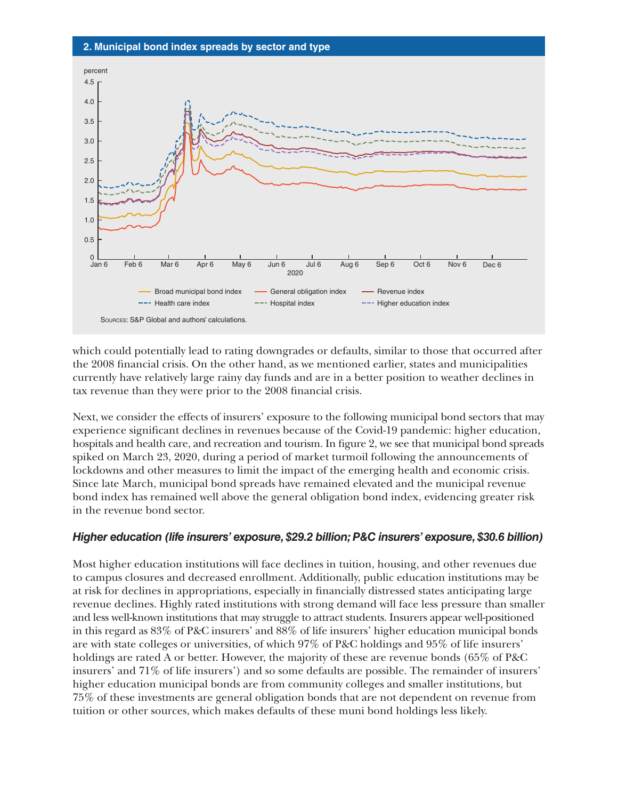



which could potentially lead to rating downgrades or defaults, similar to those that occurred after the 2008 financial crisis. On the other hand, as we mentioned earlier, states and municipalities currently have relatively large rainy day funds and are in a better position to weather declines in tax revenue than they were prior to the 2008 financial crisis.

Next, we consider the effects of insurers' exposure to the following municipal bond sectors that may experience significant declines in revenues because of the Covid-19 pandemic: higher education, hospitals and health care, and recreation and tourism. In figure 2, we see that municipal bond spreads spiked on March 23, 2020, during a period of market turmoil following the announcements of lockdowns and other measures to limit the impact of the emerging health and economic crisis. Since late March, municipal bond spreads have remained elevated and the municipal revenue bond index has remained well above the general obligation bond index, evidencing greater risk in the revenue bond sector.

#### *Higher education (life insurers' exposure, \$29.2 billion; P&C insurers' exposure, \$30.6 billion)*

Most higher education institutions will face declines in tuition, housing, and other revenues due to campus closures and decreased enrollment. Additionally, public education institutions may be at risk for declines in appropriations, especially in financially distressed states anticipating large revenue declines. Highly rated institutions with strong demand will face less pressure than smaller and less well-known institutions that may struggle to attract students. Insurers appear well-positioned in this regard as 83% of P&C insurers' and 88% of life insurers' higher education municipal bonds are with state colleges or universities, of which 97% of P&C holdings and 95% of life insurers' holdings are rated A or better. However, the majority of these are revenue bonds (65% of P&C insurers' and 71% of life insurers') and so some defaults are possible. The remainder of insurers' higher education municipal bonds are from community colleges and smaller institutions, but 75% of these investments are general obligation bonds that are not dependent on revenue from tuition or other sources, which makes defaults of these muni bond holdings less likely.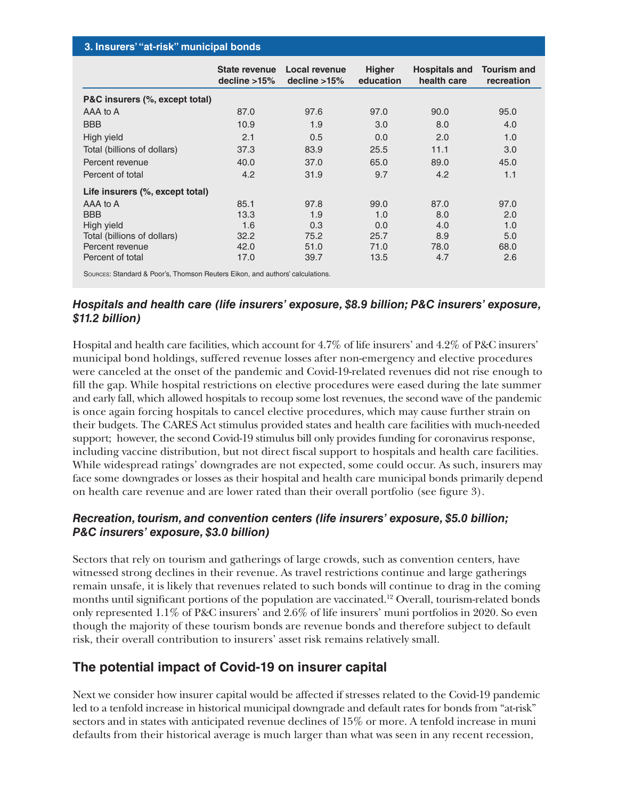| 3. Insurers' "at-risk" municipal bonds |                             |        |
|----------------------------------------|-----------------------------|--------|
|                                        | State revenue Local revenue | Hiaher |

|                                                                               | <b>State revenue</b><br>decline $>15\%$ | <b>Local revenue</b><br>decline $>15\%$ | <b>Higher</b><br>education | <b>Hospitals and</b><br>health care | <b>Tourism and</b><br>recreation |
|-------------------------------------------------------------------------------|-----------------------------------------|-----------------------------------------|----------------------------|-------------------------------------|----------------------------------|
| P&C insurers (%, except total)                                                |                                         |                                         |                            |                                     |                                  |
| AAA to A                                                                      | 87.0                                    | 97.6                                    | 97.0                       | 90.0                                | 95.0                             |
| <b>BBB</b>                                                                    | 10.9                                    | 1.9                                     | 3.0                        | 8.0                                 | 4.0                              |
| High yield                                                                    | 2.1                                     | 0.5                                     | 0.0                        | 2.0                                 | 1.0                              |
| Total (billions of dollars)                                                   | 37.3                                    | 83.9                                    | 25.5                       | 11.1                                | 3.0                              |
| Percent revenue                                                               | 40.0                                    | 37.0                                    | 65.0                       | 89.0                                | 45.0                             |
| Percent of total                                                              | 4.2                                     | 31.9                                    | 9.7                        | 4.2                                 | 1.1                              |
| Life insurers (%, except total)                                               |                                         |                                         |                            |                                     |                                  |
| AAA to A                                                                      | 85.1                                    | 97.8                                    | 99.0                       | 87.0                                | 97.0                             |
| <b>BBB</b>                                                                    | 13.3                                    | 1.9                                     | 1.0                        | 8.0                                 | 2.0                              |
| High yield                                                                    | 1.6                                     | 0.3                                     | 0.0                        | 4.0                                 | 1.0                              |
| Total (billions of dollars)                                                   | 32.2                                    | 75.2                                    | 25.7                       | 8.9                                 | 5.0                              |
| Percent revenue                                                               | 42.0                                    | 51.0                                    | 71.0                       | 78.0                                | 68.0                             |
| Percent of total                                                              | 17.0                                    | 39.7                                    | 13.5                       | 4.7                                 | 2.6                              |
| SOURCES: Standard & Poor's, Thomson Reuters Eikon, and authors' calculations. |                                         |                                         |                            |                                     |                                  |

#### *Hospitals and health care (life insurers' exposure, \$8.9 billion; P&C insurers' exposure, \$11.2 billion)*

Hospital and health care facilities, which account for 4.7% of life insurers' and 4.2% of P&C insurers' municipal bond holdings, suffered revenue losses after non-emergency and elective procedures were canceled at the onset of the pandemic and Covid-19-related revenues did not rise enough to fill the gap. While hospital restrictions on elective procedures were eased during the late summer and early fall, which allowed hospitals to recoup some lost revenues, the second wave of the pandemic is once again forcing hospitals to cancel elective procedures, which may cause further strain on their budgets. The CARES Act stimulus provided states and health care facilities with much-needed support; however, the second Covid-19 stimulus bill only provides funding for coronavirus response, including vaccine distribution, but not direct fiscal support to hospitals and health care facilities. While widespread ratings' downgrades are not expected, some could occur. As such, insurers may face some downgrades or losses as their hospital and health care municipal bonds primarily depend on health care revenue and are lower rated than their overall portfolio (see figure 3).

#### *Recreation, tourism, and convention centers (life insurers' exposure, \$5.0 billion; P&C insurers' exposure, \$3.0 billion)*

Sectors that rely on tourism and gatherings of large crowds, such as convention centers, have witnessed strong declines in their revenue. As travel restrictions continue and large gatherings remain unsafe, it is likely that revenues related to such bonds will continue to drag in the coming months until significant portions of the population are vaccinated.12 Overall, tourism-related bonds only represented 1.1% of P&C insurers' and 2.6% of life insurers' muni portfolios in 2020. So even though the majority of these tourism bonds are revenue bonds and therefore subject to default risk, their overall contribution to insurers' asset risk remains relatively small.

## **The potential impact of Covid-19 on insurer capital**

Next we consider how insurer capital would be affected if stresses related to the Covid-19 pandemic led to a tenfold increase in historical municipal downgrade and default rates for bonds from "at-risk" sectors and in states with anticipated revenue declines of 15% or more. A tenfold increase in muni defaults from their historical average is much larger than what was seen in any recent recession,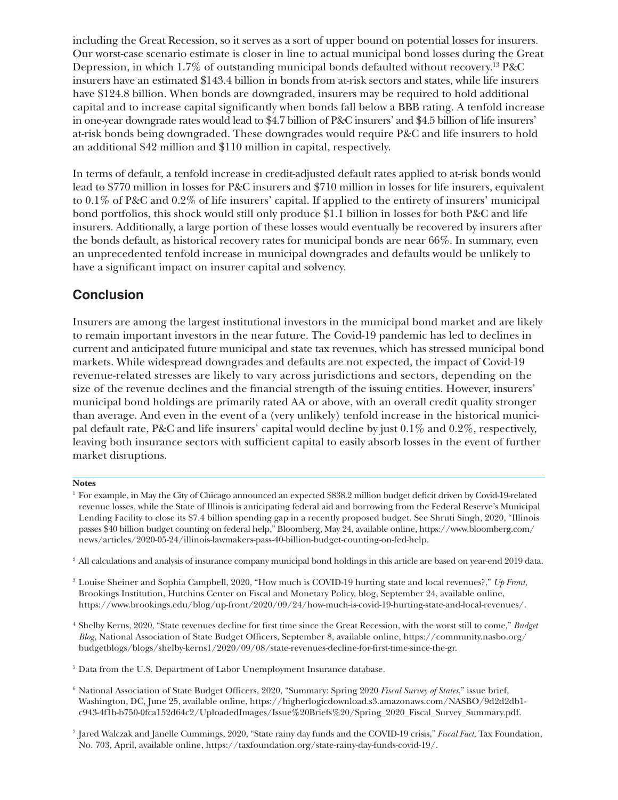including the Great Recession, so it serves as a sort of upper bound on potential losses for insurers. Our worst-case scenario estimate is closer in line to actual municipal bond losses during the Great Depression, in which 1.7% of outstanding municipal bonds defaulted without recovery.13 P&C insurers have an estimated \$143.4 billion in bonds from at-risk sectors and states, while life insurers have \$124.8 billion. When bonds are downgraded, insurers may be required to hold additional capital and to increase capital significantly when bonds fall below a BBB rating. A tenfold increase in one-year downgrade rates would lead to \$4.7 billion of P&C insurers' and \$4.5 billion of life insurers' at-risk bonds being downgraded. These downgrades would require P&C and life insurers to hold an additional \$42 million and \$110 million in capital, respectively.

In terms of default, a tenfold increase in credit-adjusted default rates applied to at-risk bonds would lead to \$770 million in losses for P&C insurers and \$710 million in losses for life insurers, equivalent to 0.1% of P&C and 0.2% of life insurers' capital. If applied to the entirety of insurers' municipal bond portfolios, this shock would still only produce \$1.1 billion in losses for both P&C and life insurers. Additionally, a large portion of these losses would eventually be recovered by insurers after the bonds default, as historical recovery rates for municipal bonds are near 66%. In summary, even an unprecedented tenfold increase in municipal downgrades and defaults would be unlikely to have a significant impact on insurer capital and solvency.

### **Conclusion**

Insurers are among the largest institutional investors in the municipal bond market and are likely to remain important investors in the near future. The Covid-19 pandemic has led to declines in current and anticipated future municipal and state tax revenues, which has stressed municipal bond markets. While widespread downgrades and defaults are not expected, the impact of Covid-19 revenue-related stresses are likely to vary across jurisdictions and sectors, depending on the size of the revenue declines and the financial strength of the issuing entities. However, insurers' municipal bond holdings are primarily rated AA or above, with an overall credit quality stronger than average. And even in the event of a (very unlikely) tenfold increase in the historical municipal default rate, P&C and life insurers' capital would decline by just 0.1% and 0.2%, respectively, leaving both insurance sectors with sufficient capital to easily absorb losses in the event of further market disruptions.

#### **Notes**

<sup>2</sup> All calculations and analysis of insurance company municipal bond holdings in this article are based on year-end 2019 data.

<sup>3</sup> Louise Sheiner and Sophia Campbell, 2020, "How much is COVID-19 hurting state and local revenues?," *Up Front*, Brookings Institution, Hutchins Center on Fiscal and Monetary Policy, blog, September 24, available online, https://www.brookings.edu/blog/up-front/2020/09/24/how-much-is-covid-19-hurting-state-and-local-revenues/.

<sup>4</sup> Shelby Kerns, 2020, "State revenues decline for first time since the Great Recession, with the worst still to come," *Budget Blog*, National Association of State Budget Officers, September 8, available online, [https://community.nasbo.org/](https://community.nasbo.org/budgetblogs/blogs/shelby-kerns1/2020/09/08/state-revenues-decline-for-first-time-since-the-gr) [budgetblogs/blogs/shelby-kerns1/2020/09/08/state-revenues-decline-for-first-time-since-the-gr.](https://community.nasbo.org/budgetblogs/blogs/shelby-kerns1/2020/09/08/state-revenues-decline-for-first-time-since-the-gr)

<sup>5</sup> Data from the U.S. Department of Labor Unemployment Insurance database.

- <sup>6</sup> National Association of State Budget Officers, 2020, "Summary: Spring 2020 *Fiscal Survey of States*," issue brief, Washington, DC, June 25, available online, [https://higherlogicdownload.s3.amazonaws.com/NASBO/9d2d2db1](https://higherlogicdownload.s3.amazonaws.com/NASBO/9d2d2db1-c943-4f1b-b750-0fca152d64c2/UploadedImages/Issue%20Briefs%20/Spring_2020_Fiscal_Survey_Summary.pdf
) [c943-4f1b-b750-0fca152d64c2/UploadedImages/Issue%20Briefs%20/Spring\\_2020\\_Fiscal\\_Survey\\_Summary.pdf.](https://higherlogicdownload.s3.amazonaws.com/NASBO/9d2d2db1-c943-4f1b-b750-0fca152d64c2/UploadedImages/Issue%20Briefs%20/Spring_2020_Fiscal_Survey_Summary.pdf
)
- <sup>7</sup> Jared Walczak and Janelle Cummings, 2020, "State rainy day funds and the COVID-19 crisis," *Fiscal Fact*, Tax Foundation, No. 703, April, available online, [https://taxfoundation.org/state-rainy-day-funds-covid-19/.](https://taxfoundation.org/state-rainy-day-funds-covid-19/)

<sup>1</sup> For example, in May the City of Chicago announced an expected \$838.2 million budget deficit driven by Covid-19-related revenue losses, while the State of Illinois is anticipating federal aid and borrowing from the Federal Reserve's Municipal Lending Facility to close its \$7.4 billion spending gap in a recently proposed budget. See Shruti Singh, 2020, "Illinois passes \$40 billion budget counting on federal help," Bloomberg, May 24, available online, [https://www.bloomberg.com/](https://www.bloomberg.com/news/articles/2020-05-24/illinois-lawmakers-pass-40-billion-budget-counting-on-fed-help) [news/articles/2020-05-24/illinois-lawmakers-pass-40-billion-budget-counting-on-fed-help.](https://www.bloomberg.com/news/articles/2020-05-24/illinois-lawmakers-pass-40-billion-budget-counting-on-fed-help)